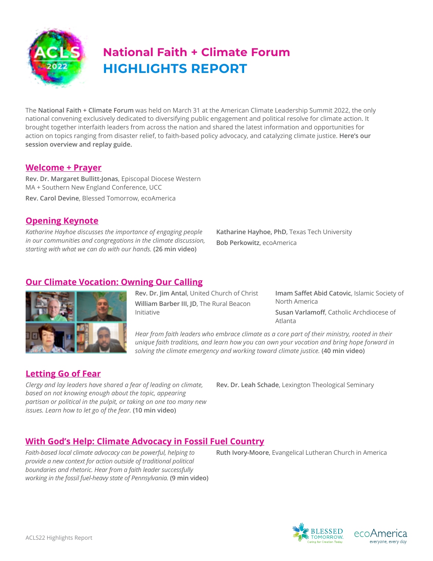

# **HIGHLIGHTS REPORT National Faith + Climate Forum**

The **National Faith + Climate Forum** was held on March 31 at the American Climate Leadership Summit 2022, the only national convening exclusively dedicated to diversifying public engagement and political resolve for climate action. It brought together interfaith leaders from across the nation and shared the latest information and opportunities for action on topics ranging from disaster relief, to faith-based policy advocacy, and catalyzing climate justice. **Here's our session overview and replay guide.**

#### **[Welcome + Prayer](https://youtu.be/UCfXlxgwtVA)**

**Rev. Dr. Margaret Bullitt-Jonas**, Episcopal Diocese Western MA + Southern New England Conference, UCC **Rev. Carol Devine**, Blessed Tomorrow, ecoAmerica

#### **[Opening Keynote](https://youtu.be/e0pUf1QahxI)**

*Katharine Hayhoe discusses the importance of engaging people in our communities and congregations in the climate discussion, starting with what we can do with our hands.* **(26 min video)**

**Katharine Hayhoe, PhD**, Texas Tech University **Bob Perkowitz**, ecoAmerica

## **[Our Climate Vocation: Owning Our Calling](https://youtu.be/Vm1yGxiz6Lw)**



**Rev. Dr. Jim Antal**, United Church of Christ **William Barber III, JD**, The Rural Beacon Initiative

**Imam Saffet Abid Catovic**, Islamic Society of North America **Susan Varlamoff**, Catholic Archdiocese of Atlanta

*Hear from faith leaders who embrace climate as a core part of their ministry, rooted in their unique faith traditions, and learn how you can own your vocation and bring hope forward in solving the climate emergency and working toward climate justice.* **(40 min video)**

#### **[Letting Go of Fear](https://youtu.be/1AK1Ly7VZLo)**

*Clergy and lay leaders have shared a fear of leading on climate,* **Rev. Dr. Leah Schade**, Lexington Theological Seminary *based on not knowing enough about the topic, appearing partisan or political in the pulpit, or taking on one too many new issues. Learn how to let go of the fear.* **(10 min video)**

## **[With God's Help: Climate Advocacy in Fossil Fuel Country](https://youtu.be/BvUO2UMiPAs)**

*Faith-based local climate advocacy can be powerful, helping to* **Ruth Ivory-Moore**, Evangelical Lutheran Church in America *provide a new context for action outside of traditional political boundaries and rhetoric. Hear from a faith leader successfully working in the fossil fuel-heavy state of Pennsylvania.* **(9 min video)**